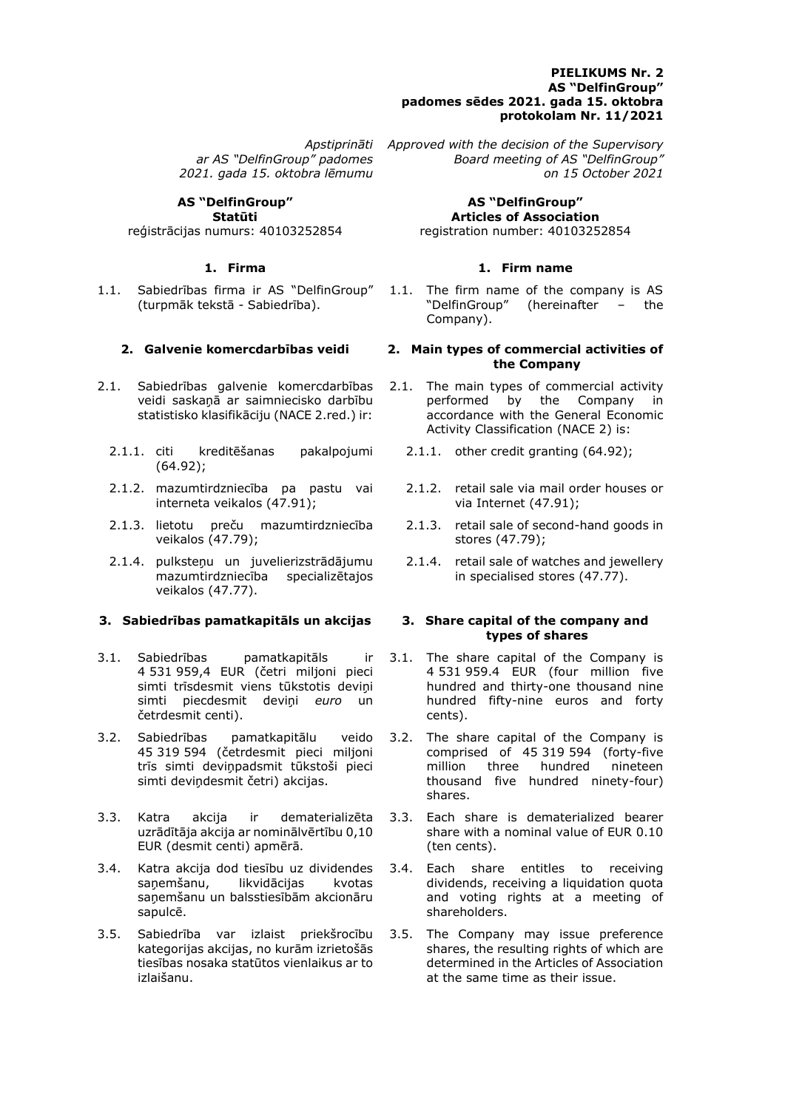### **PIELIKUMS Nr. 2 AS "DelfinGroup" padomes sēdes 2021. gada 15. oktobra protokolam Nr. 11/2021**

*ar AS "DelfinGroup" padomes 2021. gada 15. oktobra lēmumu*

**AS "DelfinGroup" Statūti**

reģistrācijas numurs: 40103252854

1.1. Sabiedrības firma ir AS "DelfinGroup" (turpmāk tekstā - Sabiedrība).

- 2.1. Sabiedrības galvenie komercdarbības veidi saskaņā ar saimniecisko darbību statistisko klasifikāciju (NACE 2.red.) ir:
	- 2.1.1. citi kreditēšanas pakalpojumi (64.92);
	- 2.1.2. mazumtirdzniecība pa pastu vai interneta veikalos (47.91);
	- 2.1.3. lietotu preču mazumtirdzniecība veikalos (47.79);
	- 2.1.4. pulksteņu un juvelierizstrādājumu mazumtirdzniecība specializētajos veikalos (47.77).

### **3. Sabiedrības pamatkapitāls un akcijas 3. Share capital of the company and**

- 3.1. Sabiedrības pamatkapitāls ir 4 531 959,4 EUR (četri miljoni pieci simti trīsdesmit viens tūkstotis deviņi simti piecdesmit deviņi *euro* un četrdesmit centi).
- 3.2. Sabiedrības pamatkapitālu veido 45 319 594 (četrdesmit pieci miljoni trīs simti deviņpadsmit tūkstoši pieci simti deviņdesmit četri) akcijas.
- 3.3. Katra akcija ir dematerializēta uzrādītāja akcija ar nominālvērtību 0,10 EUR (desmit centi) apmērā.
- 3.4. Katra akcija dod tiesību uz dividendes saņemšanu, likvidācijas kvotas saņemšanu un balsstiesībām akcionāru sapulcē.
- 3.5. Sabiedrība var izlaist priekšrocību kategorijas akcijas, no kurām izrietošās tiesības nosaka statūtos vienlaikus ar to izlaišanu.

*Apstiprināti Approved with the decision of the Supervisory Board meeting of AS "DelfinGroup" on 15 October 2021*

> **AS "DelfinGroup" Articles of Association** registration number: 40103252854

# **1. Firma 1. Firm name**

1.1. The firm name of the company is AS "DelfinGroup" (hereinafter – the Company).

### **2. Galvenie komercdarbības veidi 2. Main types of commercial activities of the Company**

- 2.1. The main types of commercial activity performed by the Company in accordance with the General Economic Activity Classification (NACE 2) is:
	- 2.1.1. other credit granting (64.92);
	- 2.1.2. retail sale via mail order houses or via Internet (47.91);
	- 2.1.3. retail sale of second-hand goods in stores (47.79);
	- 2.1.4. retail sale of watches and jewellery in specialised stores (47.77).

# **types of shares**

- 3.1. The share capital of the Company is 4 531 959.4 EUR (four million five hundred and thirty-one thousand nine hundred fifty-nine euros and forty cents).
- 3.2. The share capital of the Company is comprised of 45 319 594 (forty-five million three hundred nineteen thousand five hundred ninety-four) shares.
- 3.3. Each share is dematerialized bearer share with a nominal value of EUR 0.10 (ten cents).
- 3.4. Each share entitles to receiving dividends, receiving a liquidation quota and voting rights at a meeting of shareholders.
- 3.5. The Company may issue preference shares, the resulting rights of which are determined in the Articles of Association at the same time as their issue.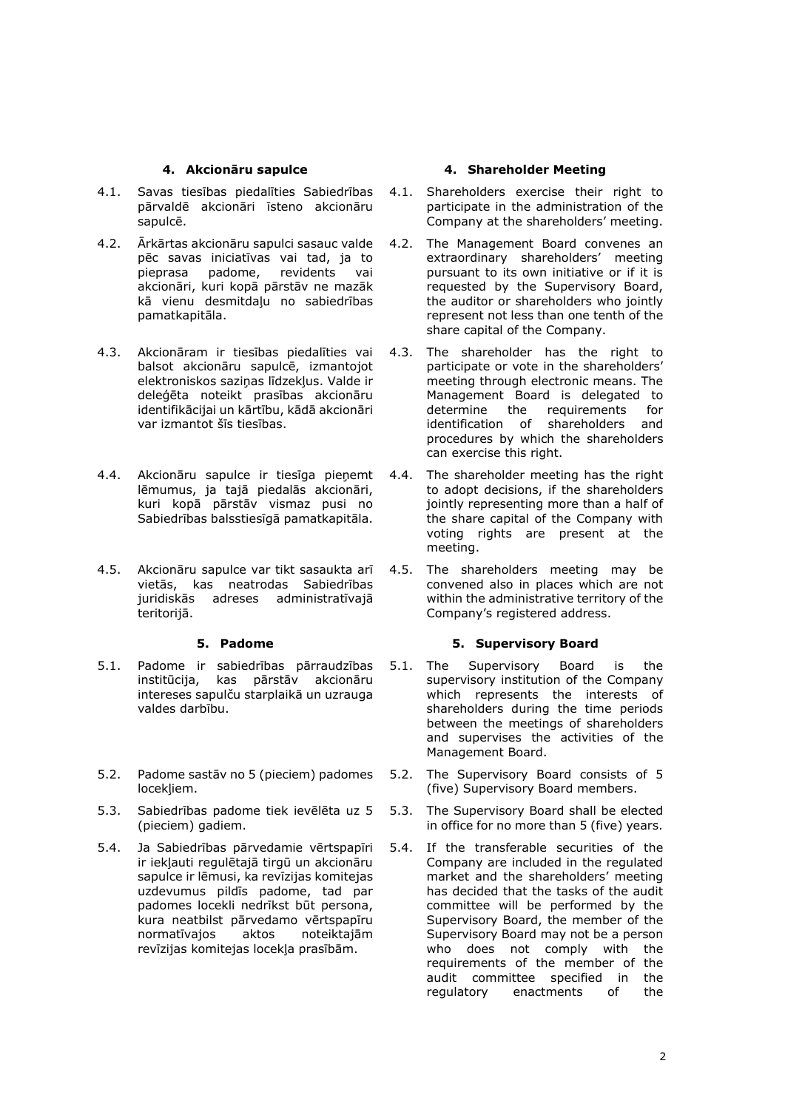- 4.1. Savas tiesības piedalīties Sabiedrības pārvaldē akcionāri īsteno akcionāru sapulcē.
- 4.2. Ārkārtas akcionāru sapulci sasauc valde pēc savas iniciatīvas vai tad, ja to pieprasa padome, revidents vai akcionāri, kuri kopā pārstāv ne mazāk kā vienu desmitdaļu no sabiedrības pamatkapitāla.
- 4.3. Akcionāram ir tiesības piedalīties vai balsot akcionāru sapulcē, izmantojot elektroniskos saziņas līdzekļus. Valde ir deleģēta noteikt prasības akcionāru identifikācijai un kārtību, kādā akcionāri var izmantot šīs tiesības.
- 4.4. Akcionāru sapulce ir tiesīga pieņemt lēmumus, ja tajā piedalās akcionāri, kuri kopā pārstāv vismaz pusi no Sabiedrības balsstiesīgā pamatkapitāla.
- 4.5. Akcionāru sapulce var tikt sasaukta arī vietās, kas neatrodas Sabiedrības juridiskās adreses administratīvajā teritorijā.

- 5.1. Padome ir sabiedrības pārraudzības institūcija, kas pārstāv akcionāru intereses sapulču starplaikā un uzrauga valdes darbību.
- 5.2. Padome sastāv no 5 (pieciem) padomes locekļiem.
- 5.3. Sabiedrības padome tiek ievēlēta uz 5 (pieciem) gadiem.
- 5.4. Ja Sabiedrības pārvedamie vērtspapīri ir iekļauti regulētajā tirgū un akcionāru sapulce ir lēmusi, ka revīzijas komitejas uzdevumus pildīs padome, tad par padomes locekli nedrīkst būt persona, kura neatbilst pārvedamo vērtspapīru normatīvajos aktos noteiktajām revīzijas komitejas locekļa prasībām.

# **4. Akcionāru sapulce 4. Shareholder Meeting**

- 4.1. Shareholders exercise their right to participate in the administration of the Company at the shareholders' meeting.
- 4.2. The Management Board convenes an extraordinary shareholders' meeting pursuant to its own initiative or if it is requested by the Supervisory Board, the auditor or shareholders who jointly represent not less than one tenth of the share capital of the Company.
- 4.3. The shareholder has the right to participate or vote in the shareholders' meeting through electronic means. The Management Board is delegated to determine the requirements for identification of shareholders and procedures by which the shareholders can exercise this right.
- 4.4. The shareholder meeting has the right to adopt decisions, if the shareholders jointly representing more than a half of the share capital of the Company with voting rights are present at the meeting.
- 4.5. The shareholders meeting may be convened also in places which are not within the administrative territory of the Company's registered address.

# **5. Padome 5. Supervisory Board**

- 5.1. The Supervisory Board is the supervisory institution of the Company which represents the interests of shareholders during the time periods between the meetings of shareholders and supervises the activities of the Management Board.
- 5.2. The Supervisory Board consists of 5 (five) Supervisory Board members.
- 5.3. The Supervisory Board shall be elected in office for no more than 5 (five) years.
- 5.4. If the transferable securities of the Company are included in the regulated market and the shareholders' meeting has decided that the tasks of the audit committee will be performed by the Supervisory Board, the member of the Supervisory Board may not be a person who does not comply with the requirements of the member of the audit committee specified in the<br>requlatory enactments of the regulatory enactments of the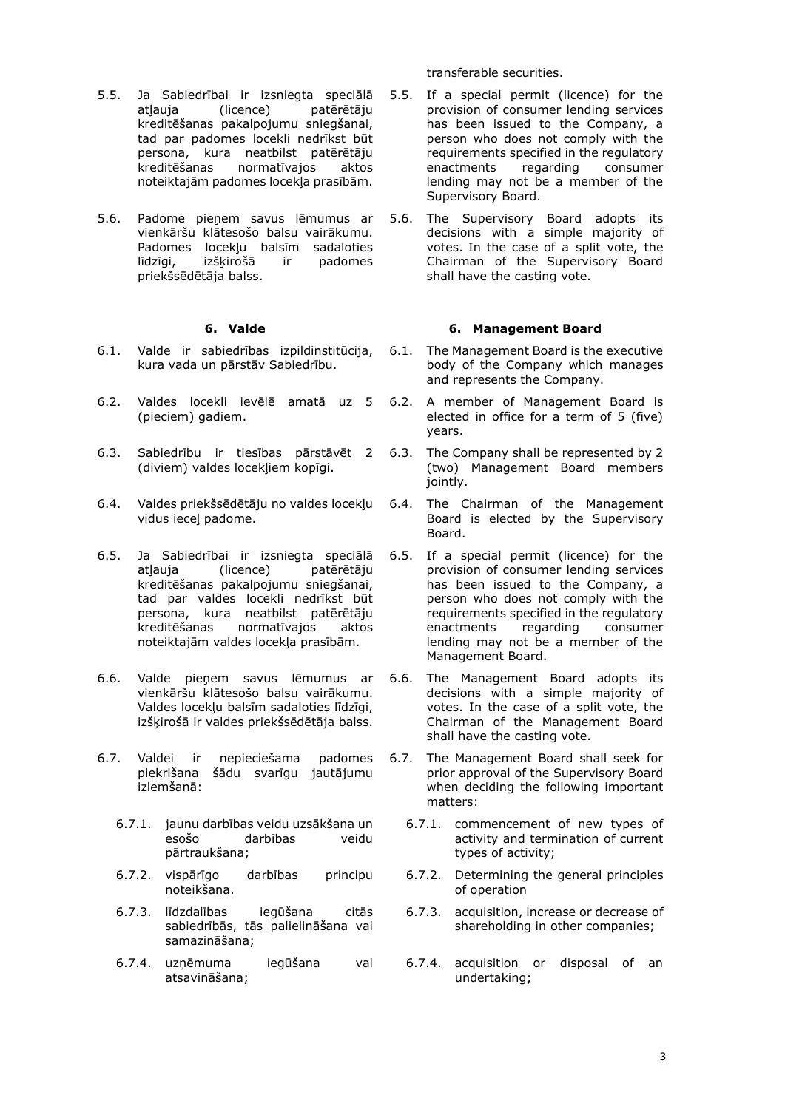transferable securities.

- 5.5. Ja Sabiedrībai ir izsniegta speciālā atļauja (licence) patērētāju kreditēšanas pakalpojumu sniegšanai, tad par padomes locekli nedrīkst būt persona, kura neatbilst patērētāju kreditēšanas normatīvajos aktos noteiktajām padomes locekļa prasībām.
- 5.6. Padome pieņem savus lēmumus ar vienkāršu klātesošo balsu vairākumu. Padomes locekļu balsīm sadaloties līdzīgi, izšķirošā ir padomes priekšsēdētāja balss.

- 6.1. Valde ir sabiedrības izpildinstitūcija, kura vada un pārstāv Sabiedrību.
- 6.2. Valdes locekli ievēlē amatā uz 5 (pieciem) gadiem.
- 6.3. Sabiedrību ir tiesības pārstāvēt 2 (diviem) valdes locekļiem kopīgi.
- 6.4. Valdes priekšsēdētāju no valdes locekļu vidus ieceļ padome.
- 6.5. Ja Sabiedrībai ir izsniegta speciālā atļauja (licence) patērētāju kreditēšanas pakalpojumu sniegšanai, tad par valdes locekli nedrīkst būt persona, kura neatbilst patērētāju kreditēšanas normatīvajos aktos noteiktajām valdes locekļa prasībām.
- 6.6. Valde pieņem savus lēmumus ar vienkāršu klātesošo balsu vairākumu. Valdes locekļu balsīm sadaloties līdzīgi, izšķirošā ir valdes priekšsēdētāja balss.
- 6.7. Valdei ir nepieciešama padomes piekrišana šādu svarīgu jautājumu izlemšanā:
	- 6.7.1. jaunu darbības veidu uzsākšana un esošo darbības veidu pārtraukšana;
	- 6.7.2. vispārīgo darbības principu noteikšana.
	- 6.7.3. līdzdalības iegūšana citās sabiedrībās, tās palielināšana vai samazināšana;
	- 6.7.4. uzņēmuma iegūšana vai atsavināšana;
- 5.5. If a special permit (licence) for the provision of consumer lending services has been issued to the Company, a person who does not comply with the requirements specified in the regulatory enactments regarding consumer lending may not be a member of the Supervisory Board.
- 5.6. The Supervisory Board adopts its decisions with a simple majority of votes. In the case of a split vote, the Chairman of the Supervisory Board shall have the casting vote.

### **6. Valde 6. Management Board**

- 6.1. The Management Board is the executive body of the Company which manages and represents the Company.
- 6.2. A member of Management Board is elected in office for a term of 5 (five) years.
- 6.3. The Company shall be represented by 2 (two) Management Board members iointly.
- 6.4. The Chairman of the Management Board is elected by the Supervisory Board.
- 6.5. If a special permit (licence) for the provision of consumer lending services has been issued to the Company, a person who does not comply with the requirements specified in the regulatory enactments regarding consumer lending may not be a member of the Management Board.
- 6.6. The Management Board adopts its decisions with a simple majority of votes. In the case of a split vote, the Chairman of the Management Board shall have the casting vote.
- 6.7. The Management Board shall seek for prior approval of the Supervisory Board when deciding the following important matters:
	- 6.7.1. commencement of new types of activity and termination of current types of activity;
	- 6.7.2. Determining the general principles of operation
	- 6.7.3. acquisition, increase or decrease of shareholding in other companies;
	- 6.7.4. acquisition or disposal of an undertaking;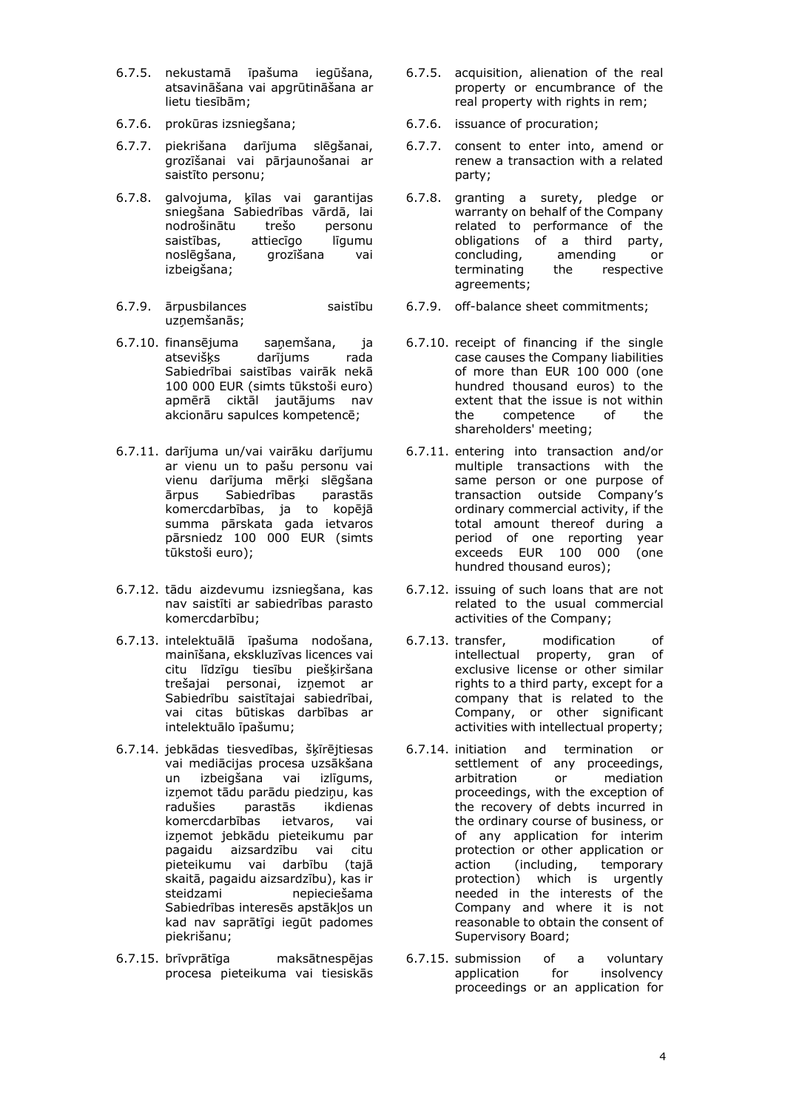- 6.7.5. nekustamā īpašuma iegūšana, atsavināšana vai apgrūtināšana ar lietu tiesībām;
- 
- 6.7.7. piekrišana darījuma slēgšanai, grozīšanai vai pārjaunošanai ar saistīto personu;
- 6.7.8. galvojuma, ķīlas vai garantijas sniegšana Sabiedrības vārdā, lai nodrošinātu trešo personu saistības, attiecīgo līgumu noslēgšana, grozīšana vai izbeigšana;
- 6.7.9. ārpusbilances saistību uzņemšanās;
- 6.7.10. finansējuma saņemšana, ja atsevišķs darījums rada Sabiedrībai saistības vairāk nekā 100 000 EUR (simts tūkstoši euro) apmērā ciktāl jautājums nav akcionāru sapulces kompetencē;
- 6.7.11. darījuma un/vai vairāku darījumu ar vienu un to pašu personu vai vienu darījuma mērķi slēgšana ārpus Sabiedrības komercdarbības, ja to kopējā summa pārskata gada ietvaros pārsniedz 100 000 EUR (simts tūkstoši euro);
- 6.7.12. tādu aizdevumu izsniegšana, kas nav saistīti ar sabiedrības parasto komercdarbību;
- 6.7.13. intelektuālā īpašuma nodošana, mainīšana, ekskluzīvas licences vai citu līdzīgu tiesību piešķiršana trešajai personai, izņemot ar Sabiedrību saistītajai sabiedrībai, vai citas būtiskas darbības ar intelektuālo īpašumu;
- 6.7.14. jebkādas tiesvedības, šķīrējtiesas vai mediācijas procesa uzsākšana un izbeigšana vai izlīgums, izņemot tādu parādu piedziņu, kas radušies parastās ikdienas komercdarbības ietvaros, vai izņemot jebkādu pieteikumu par pagaidu aizsardzību vai citu pieteikumu vai darbību (tajā skaitā, pagaidu aizsardzību), kas ir steidzami nepieciešama Sabiedrības interesēs apstākļos un kad nav saprātīgi iegūt padomes piekrišanu;
- 6.7.15. brīvprātīga maksātnespējas procesa pieteikuma vai tiesiskās
- 6.7.5. acquisition, alienation of the real property or encumbrance of the real property with rights in rem;
- 6.7.6. prokūras izsniegšana; 6.7.6. issuance of procuration;
	- 6.7.7. consent to enter into, amend or renew a transaction with a related party;
	- 6.7.8. granting a surety, pledge or warranty on behalf of the Company related to performance of the obligations of a third party, concluding, amending or terminating the respective agreements;
	- 6.7.9. off-balance sheet commitments;
	- 6.7.10. receipt of financing if the single case causes the Company liabilities of more than EUR 100 000 (one hundred thousand euros) to the extent that the issue is not within the competence of the shareholders' meeting;
	- 6.7.11. entering into transaction and/or multiple transactions with the same person or one purpose of transaction outside Company's ordinary commercial activity, if the total amount thereof during a period of one reporting year exceeds EUR 100 000 (one hundred thousand euros);
	- 6.7.12. issuing of such loans that are not related to the usual commercial activities of the Company;
	- 6.7.13. transfer, modification of intellectual property, gran of exclusive license or other similar rights to a third party, except for a company that is related to the Company, or other significant activities with intellectual property;
	- 6.7.14. initiation and termination or settlement of any proceedings,<br>arbitration or mediation arbitration or mediation proceedings, with the exception of the recovery of debts incurred in the ordinary course of business, or of any application for interim protection or other application or action (including, temporary protection) which is urgently needed in the interests of the Company and where it is not reasonable to obtain the consent of Supervisory Board;
	- 6.7.15. submission of a voluntary application for insolvency proceedings or an application for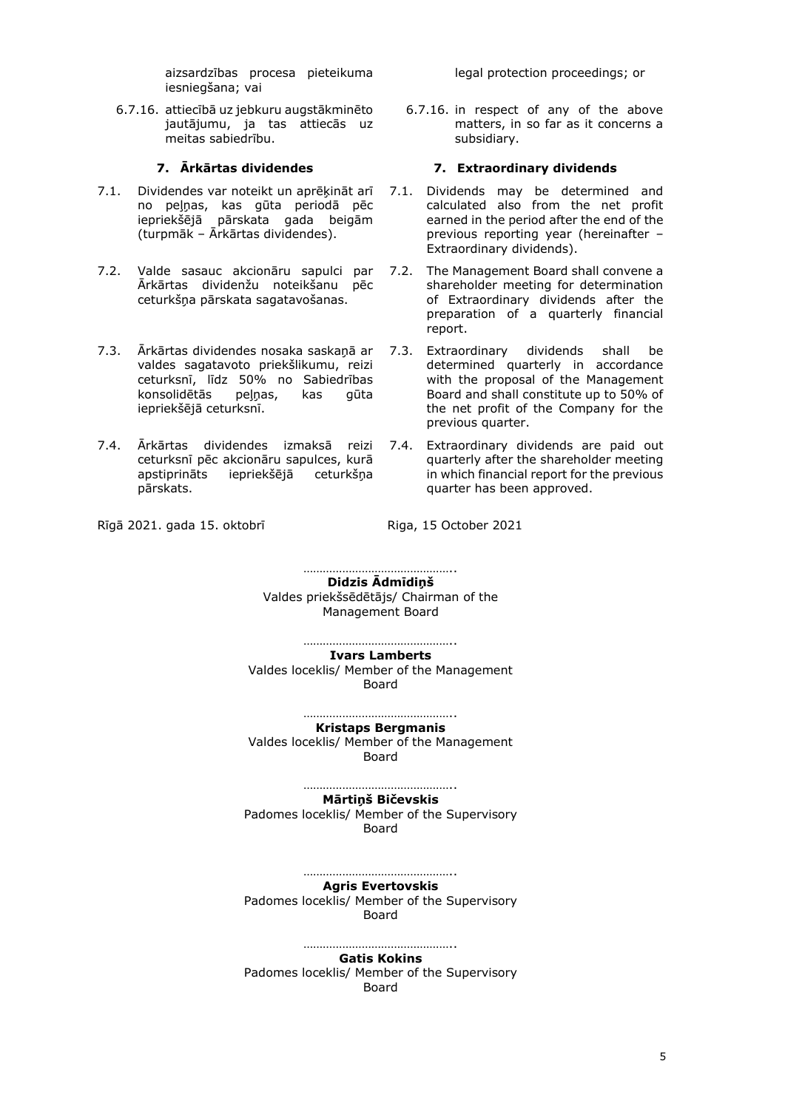aizsardzības procesa pieteikuma iesniegšana; vai

6.7.16. attiecībā uz jebkuru augstākminēto jautājumu, ja tas attiecās uz meitas sabiedrību.

- 7.1. Dividendes var noteikt un aprēķināt arī no peļņas, kas gūta periodā pēc iepriekšējā pārskata gada beigām (turpmāk – Ārkārtas dividendes).
- 7.2. Valde sasauc akcionāru sapulci par Ārkārtas dividenžu noteikšanu pēc ceturkšņa pārskata sagatavošanas.
- 7.3. Ārkārtas dividendes nosaka saskaņā ar valdes sagatavoto priekšlikumu, reizi ceturksnī, līdz 50% no Sabiedrības konsolidētās peļņas, kas gūta iepriekšējā ceturksnī.
- 7.4. Ārkārtas dividendes izmaksā reizi 7.4. Extraordinary dividends are paid out ceturksnī pēc akcionāru sapulces, kurā apstiprināts iepriekšējā ceturkšņa pārskats.

Rīgā 2021. gada 15. oktobrī Karastas Riga, 15 October 2021

legal protection proceedings; or

6.7.16. in respect of any of the above matters, in so far as it concerns a subsidiary.

# **7. Ārkārtas dividendes 7. Extraordinary dividends**

- 7.1. Dividends may be determined and calculated also from the net profit earned in the period after the end of the previous reporting year (hereinafter – Extraordinary dividends).
- 7.2. The Management Board shall convene a shareholder meeting for determination of Extraordinary dividends after the preparation of a quarterly financial report.
	- Extraordinary dividends shall be determined quarterly in accordance with the proposal of the Management Board and shall constitute up to 50% of the net profit of the Company for the previous quarter.
- quarterly after the shareholder meeting in which financial report for the previous quarter has been approved.

……………………………………….. **Didzis Ādmīdiņš** Valdes priekšsēdētājs/ Chairman of the Management Board

…………………………………………… **Ivars Lamberts** Valdes loceklis/ Member of the Management Board

……………………………………….. **Kristaps Bergmanis** Valdes loceklis/ Member of the Management Board

> ………………………………………… **Mārtiņš Bičevskis**

Padomes loceklis/ Member of the Supervisory Board

………………………………………

**Agris Evertovskis** Padomes loceklis/ Member of the Supervisory Board

…………………………………………… **Gatis Kokins** Padomes loceklis/ Member of the Supervisory Board